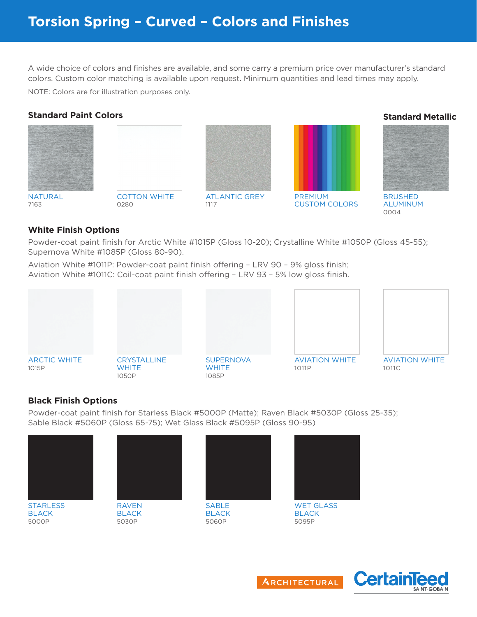## **Torsion Spring – Curved – Colors and Finishes**

A wide choice of colors and finishes are available, and some carry a premium price over manufacturer's standard colors. Custom color matching is available upon request. Minimum quantities and lead times may apply.

NOTE: Colors are for illustration purposes only.



## **White Finish Options**

Powder-coat paint finish for Arctic White #1015P (Gloss 10-20); Crystalline White #1050P (Gloss 45-55); Supernova White #1085P (Gloss 80-90).

Aviation White #1011P: Powder-coat paint finish offering – LRV 90 – 9% gloss finish; Aviation White #1011C: Coil-coat paint finish offering – LRV 93 – 5% low gloss finish.



## **Black Finish Options**

Powder-coat paint finish for Starless Black #5000P (Matte); Raven Black #5030P (Gloss 25-35); Sable Black #5060P (Gloss 65-75); Wet Glass Black #5095P (Gloss 90-95)